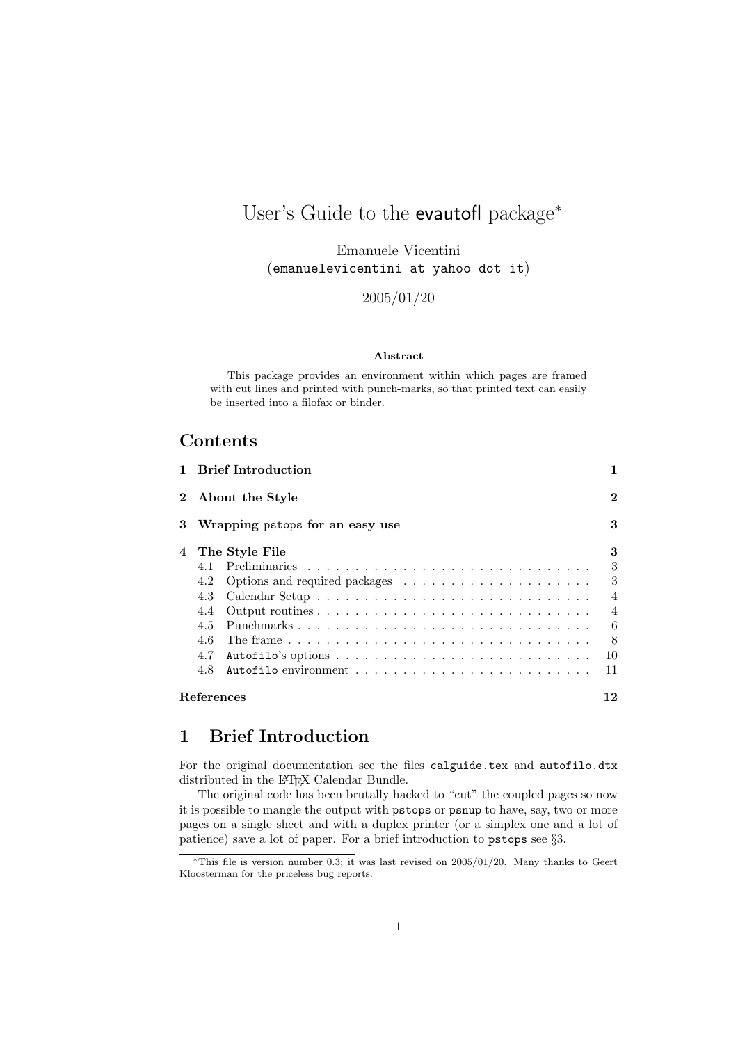# User's Guide to the evautofl package<sup>∗</sup>

Emanuele Vicentini (emanuelevicentini at yahoo dot it)

2005/01/20

#### Abstract

This package provides an environment within which pages are framed with cut lines and printed with punch-marks, so that printed text can easily be inserted into a filofax or binder.

# **Contents**

| $\mathbf{1}$ |            | <b>Brief Introduction</b>                                                                                  | 1              |
|--------------|------------|------------------------------------------------------------------------------------------------------------|----------------|
| $\bf{2}$     |            | About the Style                                                                                            | $\bf{2}$       |
| 3            |            | Wrapping pstops for an easy use                                                                            | 3              |
| 4            |            | The Style File                                                                                             | 3              |
|              | 4.1        |                                                                                                            | 3              |
|              | 4.2        |                                                                                                            | 3              |
|              | 4.3        |                                                                                                            | $\overline{4}$ |
|              | 4.4        |                                                                                                            | 4              |
|              | 4.5        |                                                                                                            | 6              |
|              | 4.6        |                                                                                                            | 8              |
|              | 4.7        |                                                                                                            | 10             |
|              | 4.8        | Autofilo environment $\ldots$ , $\ldots$ , $\ldots$ , $\ldots$ , $\ldots$ , $\ldots$ , $\ldots$ , $\ldots$ | 11             |
|              | References |                                                                                                            | 12             |

# 1 Brief Introduction

For the original documentation see the files calguide.tex and autofilo.dtx distributed in the IAT<sub>E</sub>X Calendar Bundle.

The original code has been brutally hacked to "cut" the coupled pages so now it is possible to mangle the output with pstops or psnup to have, say, two or more pages on a single sheet and with a duplex printer (or a simplex one and a lot of patience) save a lot of paper. For a brief introduction to pstops see §3.

 $*$ This file is version number 0.3; it was last revised on 2005/01/20. Many thanks to Geert Kloosterman for the priceless bug reports.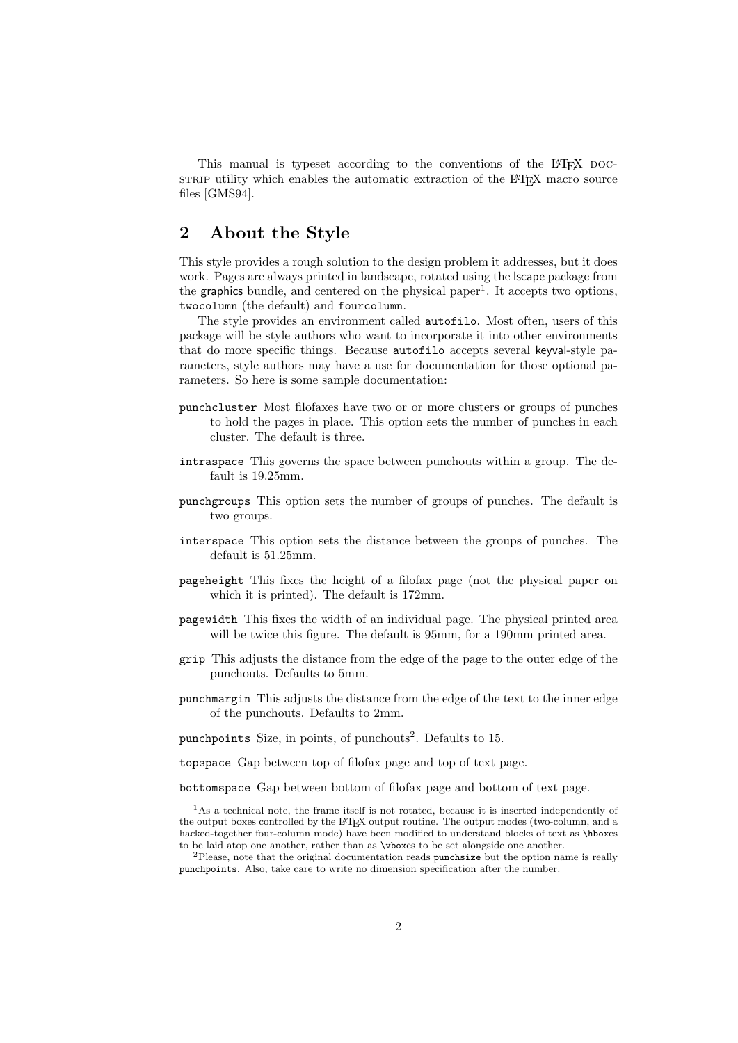This manual is typeset according to the conventions of the LAT<sub>EX</sub> DOCstrate utility which enables the automatic extraction of the LAT<sub>EX</sub> macro source files [GMS94].

### 2 About the Style

This style provides a rough solution to the design problem it addresses, but it does work. Pages are always printed in landscape, rotated using the lscape package from the graphics bundle, and centered on the physical paper<sup>1</sup>. It accepts two options, twocolumn (the default) and fourcolumn.

The style provides an environment called autofilo. Most often, users of this package will be style authors who want to incorporate it into other environments that do more specific things. Because autofilo accepts several keyval-style parameters, style authors may have a use for documentation for those optional parameters. So here is some sample documentation:

- punchcluster Most filofaxes have two or or more clusters or groups of punches to hold the pages in place. This option sets the number of punches in each cluster. The default is three.
- intraspace This governs the space between punchouts within a group. The default is 19.25mm.
- punchgroups This option sets the number of groups of punches. The default is two groups.
- interspace This option sets the distance between the groups of punches. The default is 51.25mm.
- pageheight This fixes the height of a filofax page (not the physical paper on which it is printed). The default is 172mm.
- pagewidth This fixes the width of an individual page. The physical printed area will be twice this figure. The default is  $95mm$ , for a  $190mm$  printed area.
- grip This adjusts the distance from the edge of the page to the outer edge of the punchouts. Defaults to 5mm.
- punchmargin This adjusts the distance from the edge of the text to the inner edge of the punchouts. Defaults to 2mm.

punchpoints Size, in points, of punchouts<sup>2</sup>. Defaults to 15.

topspace Gap between top of filofax page and top of text page.

bottomspace Gap between bottom of filofax page and bottom of text page.

<sup>&</sup>lt;sup>1</sup>As a technical note, the frame itself is not rotated, because it is inserted independently of the output boxes controlled by the LATEX output routine. The output modes (two-column, and a hacked-together four-column mode) have been modified to understand blocks of text as \hboxes to be laid atop one another, rather than as \vboxes to be set alongside one another.

<sup>2</sup>Please, note that the original documentation reads punchsize but the option name is really punchpoints. Also, take care to write no dimension specification after the number.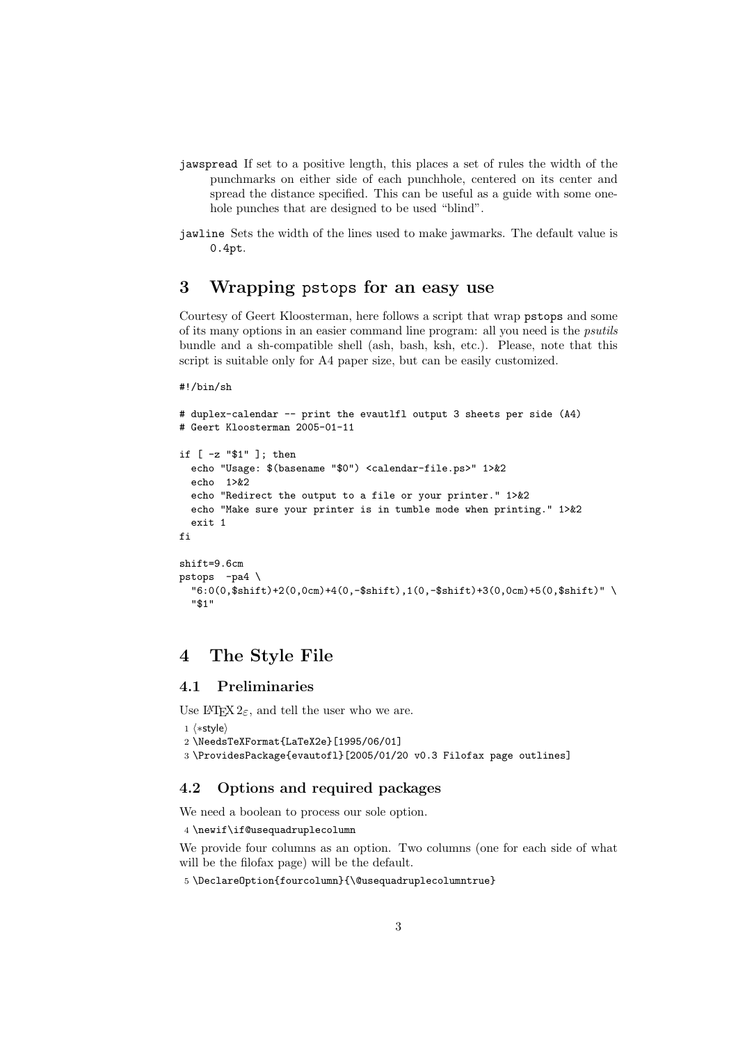- jawspread If set to a positive length, this places a set of rules the width of the punchmarks on either side of each punchhole, centered on its center and spread the distance specified. This can be useful as a guide with some onehole punches that are designed to be used "blind".
- jawline Sets the width of the lines used to make jawmarks. The default value is 0.4pt.

### 3 Wrapping pstops for an easy use

Courtesy of Geert Kloosterman, here follows a script that wrap pstops and some of its many options in an easier command line program: all you need is the psutils bundle and a sh-compatible shell (ash, bash, ksh, etc.). Please, note that this script is suitable only for A4 paper size, but can be easily customized.

```
#!/bin/sh
```

```
# duplex-calendar -- print the evautlfl output 3 sheets per side (A4)
# Geert Kloosterman 2005-01-11
if [ -z "$1" ]; then
  echo "Usage: $(basename "$0") <calendar-file.ps>" 1>&2
  echo 1>&2
  echo "Redirect the output to a file or your printer." 1>&2
  echo "Make sure your printer is in tumble mode when printing." 1>&2
  exit 1
fi
shift=9.6cm
pstops -pa4 \
  \frac{16:0(0,\$shift)+2(0,0cm)+4(0,-$shift),1(0,-$shift)+3(0,0cm)+5(0,\$shift)''"$1"
```
### 4 The Style File

#### 4.1 Preliminaries

Use  $\text{LATEX } 2\varepsilon$ , and tell the user who we are.

```
1 \langle*style\rangle2 \NeedsTeXFormat{LaTeX2e}[1995/06/01]
3 \ProvidesPackage{evautofl}[2005/01/20 v0.3 Filofax page outlines]
```
#### 4.2 Options and required packages

We need a boolean to process our sole option.

4 \newif\if@usequadruplecolumn

We provide four columns as an option. Two columns (one for each side of what will be the filofax page) will be the default.

5 \DeclareOption{fourcolumn}{\@usequadruplecolumntrue}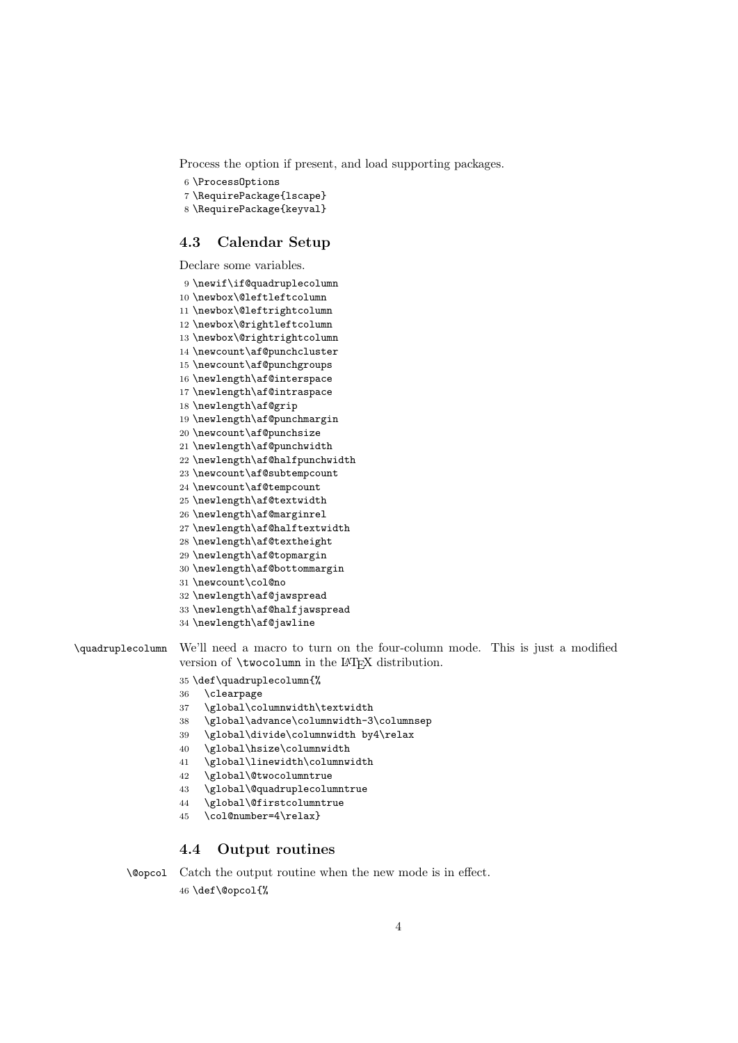Process the option if present, and load supporting packages.

```
6 \ProcessOptions
```
\RequirePackage{lscape}

```
8 \RequirePackage{keyval}
```
#### 4.3 Calendar Setup

Declare some variables.

```
9 \newif\if@quadruplecolumn
10 \newbox\@leftleftcolumn
11 \newbox\@leftrightcolumn
12 \newbox\@rightleftcolumn
13 \newbox\@rightrightcolumn
14 \newcount\af@punchcluster
15 \newcount\af@punchgroups
16 \newlength\af@interspace
17 \newlength\af@intraspace
18 \newlength\af@grip
19 \newlength\af@punchmargin
20 \newcount\af@punchsize
21 \newlength\af@punchwidth
22 \newlength\af@halfpunchwidth
23 \newcount\af@subtempcount
24 \newcount\af@tempcount
25 \newlength\af@textwidth
26 \newlength\af@marginrel
27 \newlength\af@halftextwidth
28 \newlength\af@textheight
29 \newlength\af@topmargin
30 \newlength\af@bottommargin
31 \newcount\col@no
32 \newlength\af@jawspread
33 \newlength\af@halfjawspread
34 \newlength\af@jawline
```
\quadruplecolumn We'll need a macro to turn on the four-column mode. This is just a modified version of **\twocolumn** in the L<sup>AT</sup>FX distribution.

#### \def\quadruplecolumn{%

- \clearpage
- \global\columnwidth\textwidth
- \global\advance\columnwidth-3\columnsep
- \global\divide\columnwidth by4\relax
- \global\hsize\columnwidth
- \global\linewidth\columnwidth
- \global\@twocolumntrue
- \global\@quadruplecolumntrue
- \global\@firstcolumntrue
- \col@number=4\relax}

#### 4.4 Output routines

```
\@opcol Catch the output routine when the new mode is in effect.
         46 \def\@opcol{%
```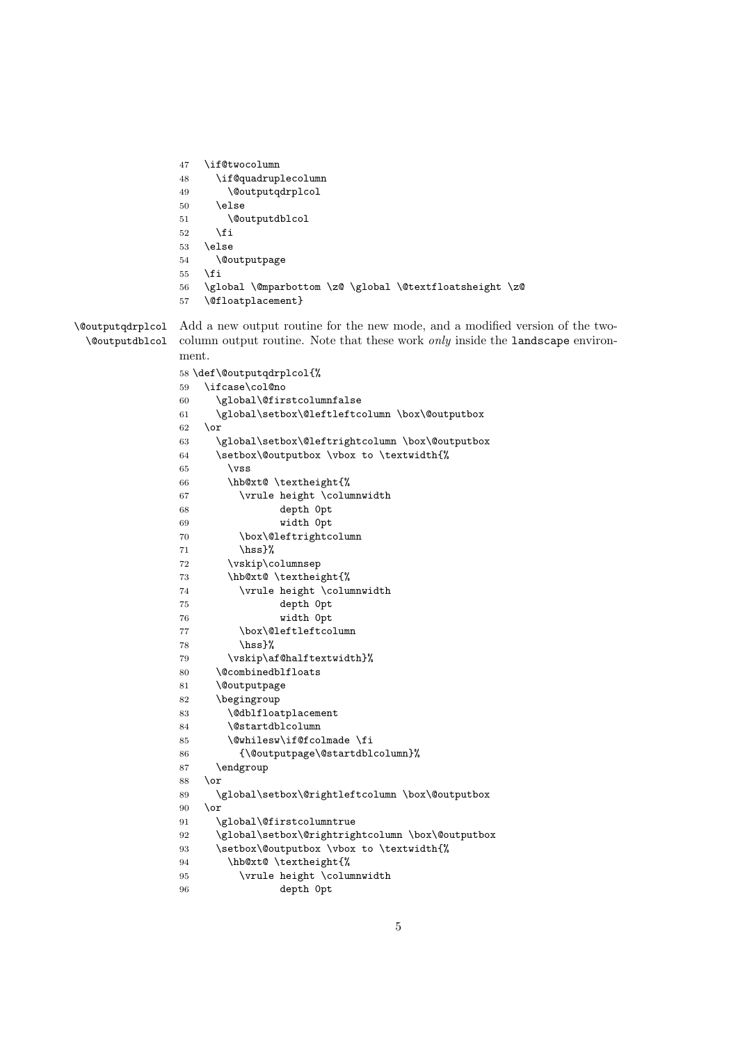```
47 \if@twocolumn
                48 \if@quadruplecolumn
                49 \@outputqdrplcol
                50 \else
                51 \@outputdblcol
                52 \overrightarrow{fi}53 \else
                54 \@outputpage
                55 \fi
                56 \global \@mparbottom \z@ \global \@textfloatsheight \z@
                57 \@floatplacement}
\@outputqdrplcol
 \@outputdblcol
                Add a new output routine for the new mode, and a modified version of the two-
                column output routine. Note that these work only inside the landscape environ-
                ment.
                58 \def\@outputqdrplcol{%
                59 \ifcase\col@no
                60 \global\@firstcolumnfalse
                61 \global\setbox\@leftleftcolumn \box\@outputbox
                62 \sqrt{or}63 \global\setbox\@leftrightcolumn \box\@outputbox
                64 \setbox\@outputbox \vbox to \textwidth{%
                65 \forallss
                66 \hb@xt@ \textheight{%
                67 \vrule height \columnwidth
                68 depth 0pt
                69 width 0pt
                70 \box\@leftrightcolumn
                71 \hss}%
                72 \vskip\columnsep
                73 \hb@xt@ \textheight{%
                74 \vrule height \columnwidth
                75 depth 0pt
                76 width 0pt
                77 \box\@leftleftcolumn
                78 \hss}%
                79 \vskip\af@halftextwidth}%
                80 \@combinedblfloats
                81 \@outputpage
                82 \begingroup
                83 \@dblfloatplacement
                84 \@startdblcolumn
                85 \@whilesw\if@fcolmade \fi
                86 {\@outputpage\@startdblcolumn}%
                87 \endgroup
                88 \or
                89 \global\setbox\@rightleftcolumn \box\@outputbox
                90 \overline{\phantom{a} \text{Cor}}91 \global\@firstcolumntrue
                92 \global\setbox\@rightrightcolumn \box\@outputbox
                93 \setbox\@outputbox \vbox to \textwidth{%
                94 \hb@xt@ \textheight{%
```

```
95 \vrule height \columnwidth
```

```
96 depth 0pt
```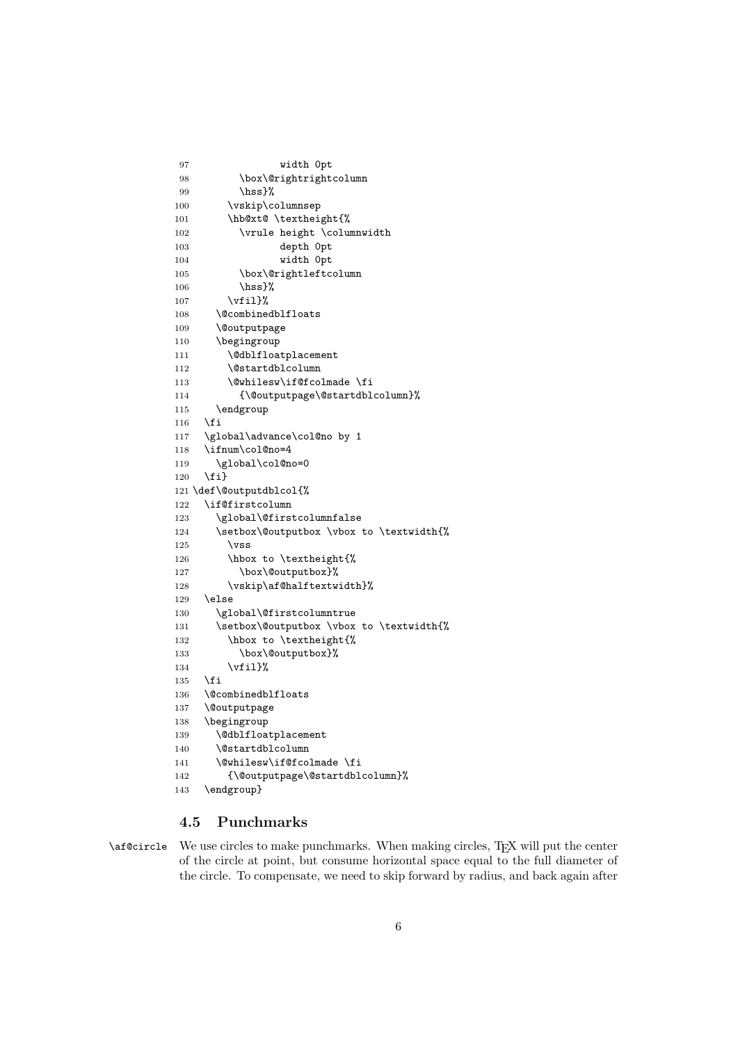```
97 width 0pt
98 \box\@rightrightcolumn
99 \hss}%
100 \vskip\columnsep
101 \hb@xt@ \textheight{%
102 \vrule height \columnwidth
103 depth 0pt
104 width 0pt
105 \box\@rightleftcolumn
106 \hss}%
107 \forallfil}%
108 \@combinedblfloats
109 \@outputpage
110 \begingroup
111 \@dblfloatplacement
112 \@startdblcolumn
113 \@whilesw\if@fcolmade \fi
114 {\@outputpage\@startdblcolumn}%
115 \endgroup
116 \fi
117 \global\advance\col@no by 1
118 \ifnum\col@no=4
119 \global\col@no=0
120 \{f_i\}121 \def\@outputdblcol{%
122 \if@firstcolumn
123 \global\@firstcolumnfalse
124 \setbox\@outputbox \vbox to \textwidth{%
125 \quad \text{VSS}126 \hbox to \textheight{%
127 \box\@outputbox}%
128 \vskip\af@halftextwidth}%
129 \else
130 \global\@firstcolumntrue
131 \setbox\@outputbox \vbox to \textwidth{%
132 \hbox to \textheight{%
133 \box\@outputbox}%
134 \vfil}%
135 \fi
136 \@combinedblfloats
137 \@outputpage
138 \begingroup
139 \@dblfloatplacement
140 \@startdblcolumn
141 \@whilesw\if@fcolmade \fi
142 {\@outputpage\@startdblcolumn}%
143 \endgroup}
```
#### 4.5 Punchmarks

\af@circle We use circles to make punchmarks. When making circles, TEX will put the center of the circle at point, but consume horizontal space equal to the full diameter of the circle. To compensate, we need to skip forward by radius, and back again after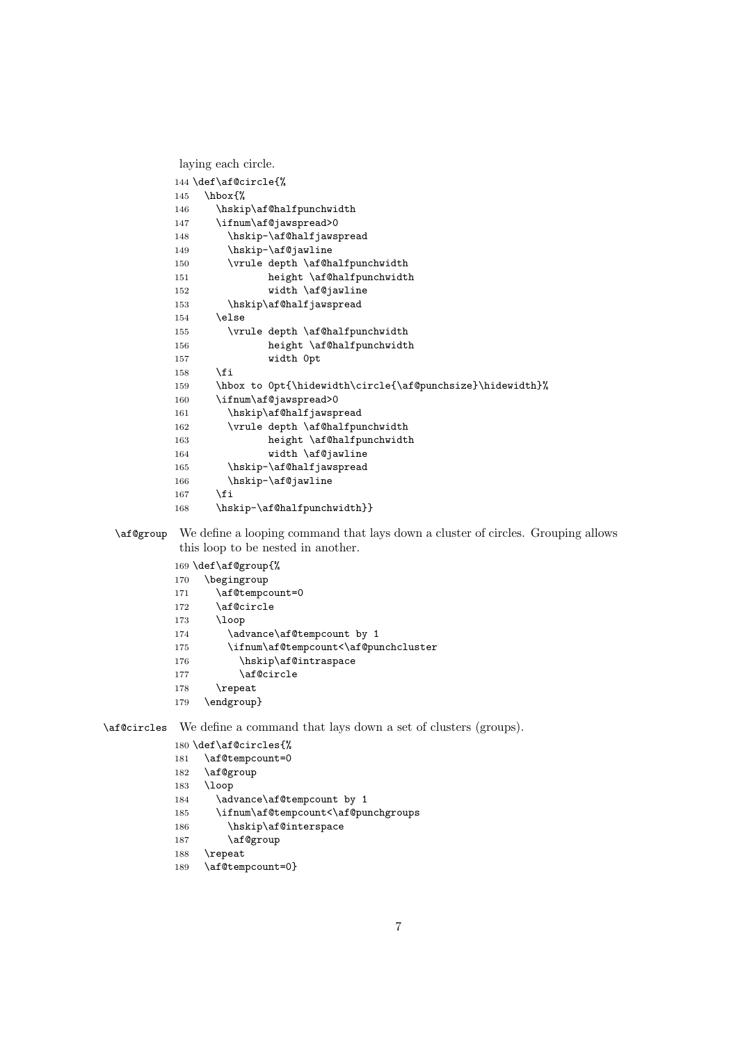```
laying each circle.
144 \def\af@circle{%<br>145 \hbox{%
    \hbox{%
146 \hskip\af@halfpunchwidth
147 \ifnum\af@jawspread>0
148 \hskip-\af@halfjawspread
149 \hskip-\af@jawline
150 \vrule depth \af@halfpunchwidth
151 height \af@halfpunchwidth
152 width \af@jawline
153 \hskip\af@halfjawspread
154 \else
155 \vrule depth \af@halfpunchwidth
156 height \af@halfpunchwidth
157 width 0pt
158 \overrightarrow{fi}159 \hbox to 0pt{\hidewidth\circle{\af@punchsize}\hidewidth}%
160 \ifnum\af@jawspread>0
161 \hskip\af@halfjawspread
162 \vrule depth \af@halfpunchwidth
163 height \af@halfpunchwidth
164 width \af@jawline
165 \hskip-\af@halfjawspread
166 \hskip-\af@jawline
167 \fi
168 \hskip-\af@halfpunchwidth}}
```
#### \af@group We define a looping command that lays down a cluster of circles. Grouping allows this loop to be nested in another.

```
169 \def\af@group{%
170 \begingroup
171 \af@tempcount=0
172 \af@circle
173 \loop
174 \advance\af@tempcount by 1
175 \ifnum\af@tempcount<\af@punchcluster
176 \hskip\af@intraspace
177 \af@circle
178 \repeat
```
\endgroup}

\af@circles We define a command that lays down a set of clusters (groups).

```
180 \def\af@circles{%
181 \af@tempcount=0
182 \af@group
183 \loop
184 \advance\af@tempcount by 1
185 \ifnum\af@tempcount<\af@punchgroups
186 \hskip\af@interspace
187 \af@group
188 \repeat
```

```
189 \af@tempcount=0}
```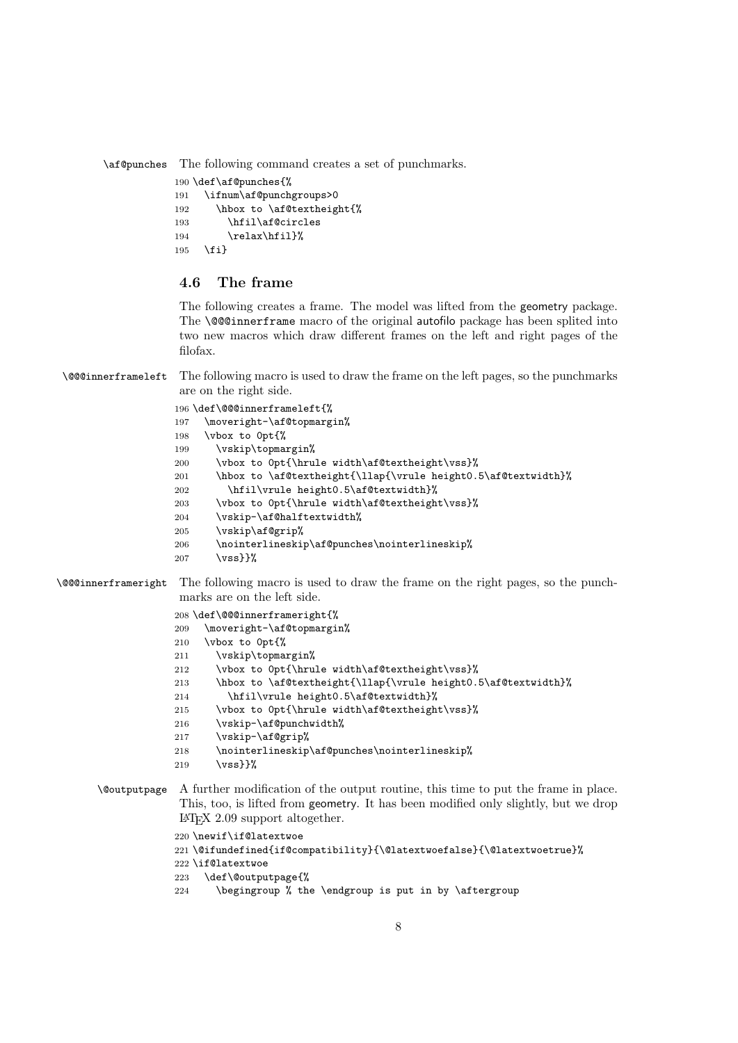\af@punches The following command creates a set of punchmarks.

```
190 \def\af@punches{%
```

```
191 \ifnum\af@punchgroups>0
192 \hbox to \af@textheight{%
193 \hfil\af@circles
194 \relax\hfil}%
195 \fi}
```
#### 4.6 The frame

The following creates a frame. The model was lifted from the geometry package. The **\@@innerframe** macro of the original autofilo package has been splited into two new macros which draw different frames on the left and right pages of the filofax.

\@@@innerframeleft The following macro is used to draw the frame on the left pages, so the punchmarks are on the right side.

```
196 \def\@@@innerframeleft{%
197 \moveright-\af@topmargin%
198 \vbox to 0pt{%
199 \vskip\topmargin%
200 \vbox to 0pt{\hrule width\af@textheight\vss}%
201 \hbox to \af@textheight{\llap{\vrule height0.5\af@textwidth}%
202 \hfil\vrule height0.5\af@textwidth}%
203 \vbox to 0pt{\hrule width\af@textheight\vss}%
204 \vskip-\af@halftextwidth%
205 \vskip\af@grip%
206 \label{lem:1} $$207 \quad \text{Vss}}
```
\@@@innerframeright The following macro is used to draw the frame on the right pages, so the punchmarks are on the left side.

```
208 \def\@@@innerframeright{%
209 \moveright-\af@topmargin%
210 \vbox to 0pt{%
211 \vskip\topmargin%
```
- 212 \vbox to 0pt{\hrule width\af@textheight\vss}%
- 213 \hbox to \af@textheight{\llap{\vrule height0.5\af@textwidth}%
- 214 \hfil\vrule height0.5\af@textwidth}%
- 215 \vbox to 0pt{\hrule width\af@textheight\vss}%
- 216 \vskip-\af@punchwidth%
- 217 \vskip-\af@grip%
- 218 \nointerlineskip\af@punches\nointerlineskip%
- 219  $\forall$ vss}}%

```
\@outputpage A further modification of the output routine, this time to put the frame in place.
               This, too, is lifted from geometry. It has been modified only slightly, but we drop
               LATEX 2.09 support altogether.
```

```
220 \newif\if@latextwoe
221 \@ifundefined{if@compatibility}{\@latextwoefalse}{\@latextwoetrue}%
222 \if@latextwoe
223 \def\@outputpage{%
224 \begingroup % the \endgroup is put in by \aftergroup
```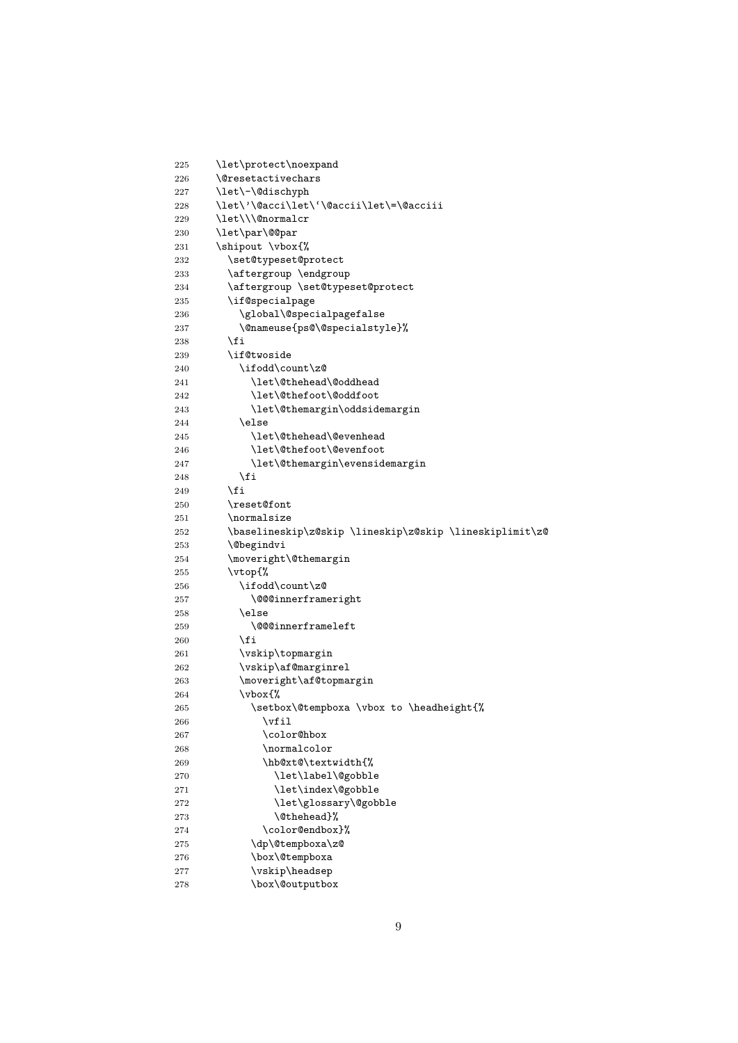| 225        | \let\protect\noexpand                                   |
|------------|---------------------------------------------------------|
| 226        | <i><u><b>Nesetactivechars</b></u></i>                   |
| 227        | \let\-\@dischyph                                        |
| 228        | \let\'\@acci\let\'\@accii\let\=\@acciii                 |
| 229        | \let\\\@normalcr                                        |
| 230        | \let\par\@@par                                          |
| 231        | \shipout \vbox{%                                        |
| 232        | \set@typeset@protect                                    |
| 233        | \aftergroup \endgroup                                   |
| 234        | \aftergroup \set@typeset@protect                        |
| 235        | \if@specialpage                                         |
| 236        | \global\@specialpagefalse                               |
| 237        | \@nameuse{ps@\@specialstyle}%                           |
| 238        | \fi                                                     |
| 239        | \if@twoside                                             |
| 240        | \ifodd\count\z@                                         |
| 241        | \let\@thehead\@oddhead                                  |
| 242        | \let\@thefoot\@oddfoot                                  |
| 243        | \let\@themargin\oddsidemargin                           |
| 244        | \else                                                   |
| 245        | \let\@thehead\@evenhead                                 |
| 246        | \let\@thefoot\@evenfoot                                 |
| 247        | \let\@themargin\evensidemargin                          |
| 248        | \fi                                                     |
| 249        | \fi                                                     |
| 250        | \reset@font                                             |
| 251        | \normalsize                                             |
| 252        | \baselineskip\z@skip \lineskip\z@skip \lineskiplimit\z@ |
| 253        | <i><b>\@begindvi</b></i>                                |
| 254        | \moveright\@themargin                                   |
| 255        | \vtop{%                                                 |
| 256<br>257 | \ifodd\count\z@<br>\@@@innerframeright                  |
| 258        | \else                                                   |
| 259        | \@@@innerframeleft                                      |
| 260        | \fi                                                     |
| 261        | \vskip\topmargin                                        |
| 262        | \vskip\af@marginrel                                     |
| 263        | \moveright\af@topmargin                                 |
| 264        | \vbox{%                                                 |
| 265        | \setbox\@tempboxa \vbox to \headheight{%                |
| 266        | \vfil                                                   |
| 267        | \color@hbox                                             |
| 268        | \normalcolor                                            |
| 269        | \hb@xt@\textwidth{%                                     |
| 270        | \let\label\@gobble                                      |
| 271        | \let\index\@gobble                                      |
| 272        | \let\glossary\@gobble                                   |
| 273        | \@thehead}%                                             |
| 274        | \color@endbox}%                                         |
| 275        | \dp\@tempboxa\z@                                        |
| 276        | \box\@tempboxa                                          |
| 277        | \vskip\headsep                                          |
| 278        | \box\@outputbox                                         |
|            |                                                         |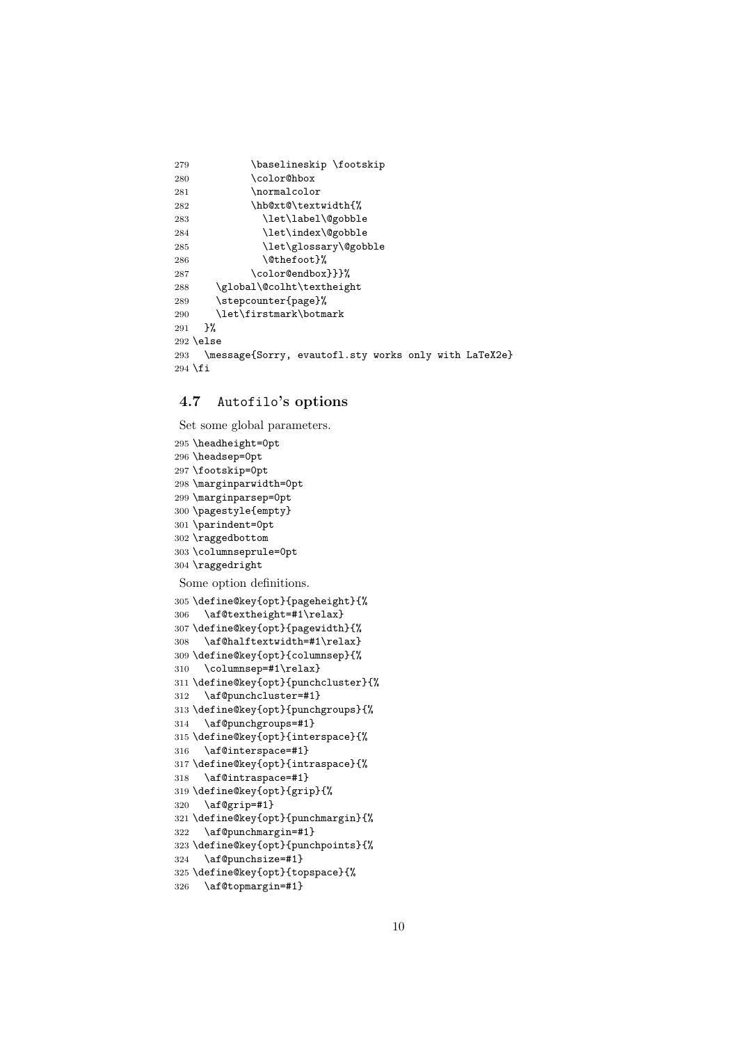| 279       | \baselineskip \footskip                               |
|-----------|-------------------------------------------------------|
| 280       | \color@hbox                                           |
| 281       | \normalcolor                                          |
| 282       | \hb@xt@\textwidth{%                                   |
| 283       | \let\label\@gobble                                    |
| 284       | \let\index\@gobble                                    |
| 285       | \let\glossary\@gobble                                 |
| 286       | \@thefoot}%                                           |
| 287       | \color@endbox}}}%                                     |
| 288       | \global\@colht\textheight                             |
| 289       | \stepcounter{page}%                                   |
| 290       | \let\firstmark\botmark                                |
| 291       | ጉ%                                                    |
|           | $292$ \else                                           |
| 293       | \message{Sorry, evautofl.sty works only with LaTeX2e} |
| $294$ \fi |                                                       |

#### 4.7 Autofilo's options

Set some global parameters.

```
295 \headheight=0pt
296 \headsep=0pt
297 \footskip=0pt
298 \marginparwidth=0pt
299 \marginparsep=0pt
300 \pagestyle{empty}
301 \parindent=0pt
302 \raggedbottom
303 \columnseprule=0pt
304 \raggedright
Some option definitions.
305 \define@key{opt}{pageheight}{%
306 \af@textheight=#1\relax}
307 \define@key{opt}{pagewidth}{%
308 \af@halftextwidth=#1\relax}
309 \define@key{opt}{columnsep}{%
310 \columnsep=#1\relax}
311 \define@key{opt}{punchcluster}{%
312 \af@punchcluster=#1}
313 \define@key{opt}{punchgroups}{%
314 \af@punchgroups=#1}
315 \define@key{opt}{interspace}{%
316 \af@interspace=#1}
317 \define@key{opt}{intraspace}{%
318 \af@intraspace=#1}
319 \define@key{opt}{grip}{%
320 \af@grip=#1}
321 \define@key{opt}{punchmargin}{%
322 \af@punchmargin=#1}
323 \define@key{opt}{punchpoints}{%
324 \af@punchsize=#1}
325 \define@key{opt}{topspace}{%
326 \af@topmargin=#1}
```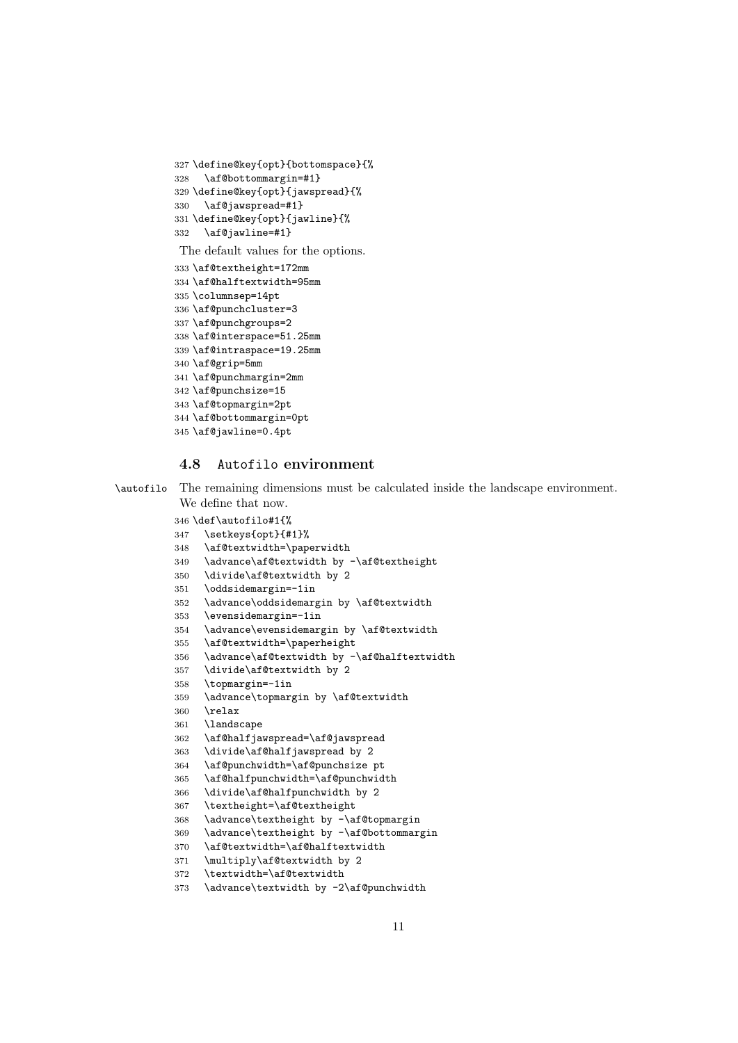```
327 \define@key{opt}{bottomspace}{%
328 \af@bottommargin=#1}
329 \define@key{opt}{jawspread}{%
330 \af@jawspread=#1}
331 \define@key{opt}{jawline}{%
332 \af@jawline=#1}
```
The default values for the options.

```
333 \af@textheight=172mm
334 \af@halftextwidth=95mm
335 \columnsep=14pt
336 \af@punchcluster=3
337 \af@punchgroups=2
338 \af@interspace=51.25mm
339 \af@intraspace=19.25mm
340 \af@grip=5mm
341 \af@punchmargin=2mm
342 \af@punchsize=15
343 \af@topmargin=2pt
344 \af@bottommargin=0pt
345 \af@jawline=0.4pt
```
#### 4.8 Autofilo environment

```
\autofilo The remaining dimensions must be calculated inside the landscape environment.
           We define that now.
```

```
346 \def\autofilo#1{%
347 \setkeys{opt}{#1}%
348 \af@textwidth=\paperwidth
349 \advance\af@textwidth by -\af@textheight
350 \divide\af@textwidth by 2
351 \oddsidemargin=-1in
352 \advance\oddsidemargin by \af@textwidth
353 \evensidemargin=-1in
354 \advance\evensidemargin by \af@textwidth
355 \af@textwidth=\paperheight
356 \advance\af@textwidth by -\af@halftextwidth
357 \divide\af@textwidth by 2
358 \topmargin=-1in
359 \advance\topmargin by \af@textwidth
360 \relax
361 \landscape
362 \af@halfjawspread=\af@jawspread
363 \divide\af@halfjawspread by 2
364 \af@punchwidth=\af@punchsize pt
365 \af@halfpunchwidth=\af@punchwidth
366 \divide\af@halfpunchwidth by 2
367 \textheight=\af@textheight
368 \advance\textheight by -\af@topmargin
369 \advance\textheight by -\af@bottommargin
370 \af@textwidth=\af@halftextwidth
```
- \multiply\af@textwidth by 2
- \textwidth=\af@textwidth

```
373 \advance\textwidth by -2\af@punchwidth
```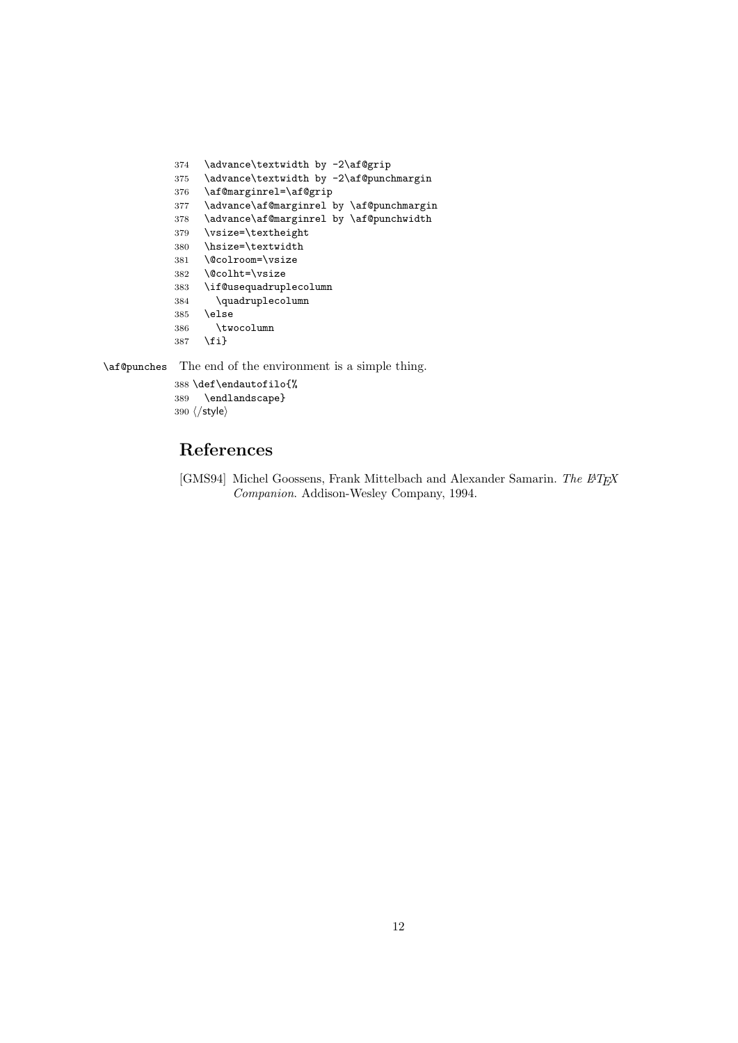```
374 \advance\textwidth by -2\af@grip
375 \advance\textwidth by -2\af@punchmargin
376 \af@marginrel=\af@grip
377 \advance\af@marginrel by \af@punchmargin
378 \advance\af@marginrel by \af@punchwidth
379 \vsize=\textheight
380 \hsize=\textwidth
381 \@colroom=\vsize
382 \@colht=\vsize
383 \if@usequadruplecolumn
384 \quadruplecolumn
385 \else
386 \twocolumn
387 \fi}
```
\af@punches The end of the environment is a simple thing.

 \def\endautofilo{% \endlandscape} 390  $\langle$ /style $\rangle$ 

## References

[GMS94] Michel Goossens, Frank Mittelbach and Alexander Samarin. The ETEX Companion. Addison-Wesley Company, 1994.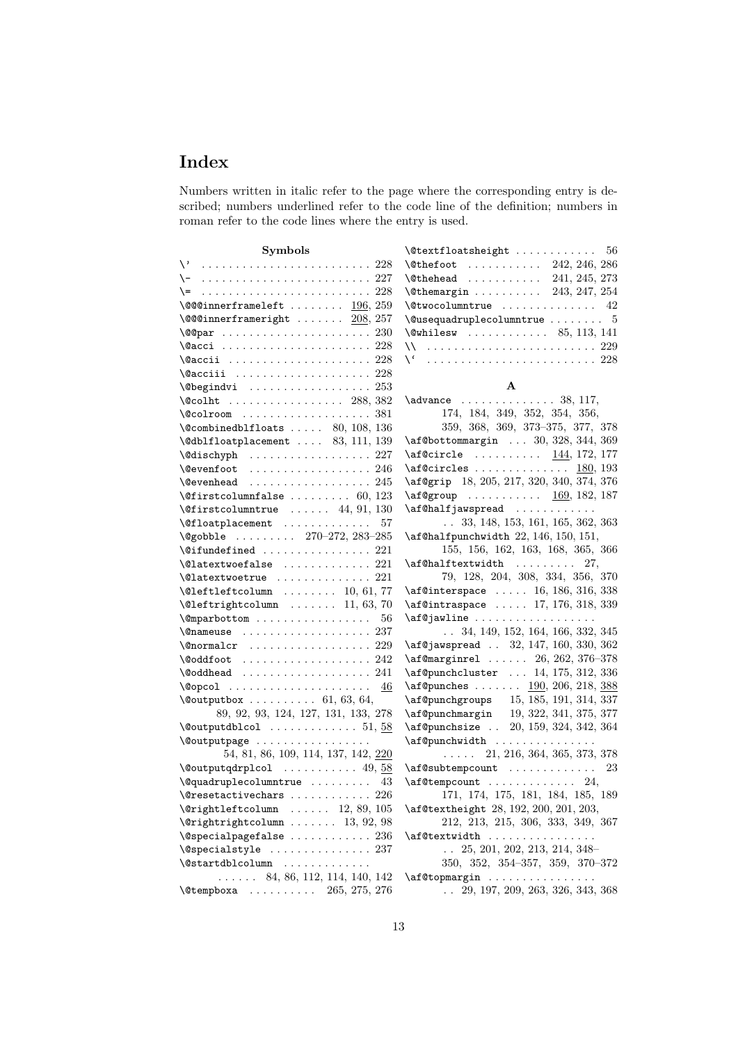# Index

Numbers written in italic refer to the page where the corresponding entry is described; numbers underlined refer to the code line of the definition; numbers in roman refer to the code lines where the entry is used.

| Symbols                                                     |  |
|-------------------------------------------------------------|--|
|                                                             |  |
| $\setminus -$                                               |  |
| $=$                                                         |  |
| $\sqrt{$ @@0innerframeleft $196, 259$                       |  |
| $\sqrt{$ @@0innerframeright $208, 257$                      |  |
|                                                             |  |
| \@acci  228                                                 |  |
| $\sqrt{aaccii}$ 228                                         |  |
| \@acciii<br>228                                             |  |
| $\text{Negindvi}$ 253                                       |  |
| $\sqrt{388, 382}$                                           |  |
| $\sqrt{0}$ colroom 381                                      |  |
| $\sqrt{$ Combinedblfloats  80, 108, 136                     |  |
| $\verb+\@dblfloatplacement+ \ldots 83, 111, 139$            |  |
| 227                                                         |  |
| . 246<br><b>\@evenfoot</b>                                  |  |
| $\texttt{\textbackslash}$ devenhead $245$                   |  |
| $\text{Qfirst column false} \dots \dots \dots \ 60, 123$    |  |
| $\text{Qfirst column}$                                      |  |
| $\text{Qfloatplacement} \dots \dots \dots \dots \dots 57$   |  |
| \@gobble  270-272, 283-285                                  |  |
| $\setminus$ @ifundefined  221                               |  |
| $\lambda$ latextwoefalse $221$                              |  |
| $\lambda$ Qlatextwo etrue $\ldots \ldots \ldots \ldots 221$ |  |
| $\text{Qlefttleft}$ column  10, 61, 77                      |  |
| $\text{Qlefttrip}$ htcolumn  11, 63, 70                     |  |
| \@mparbottom<br>56                                          |  |
| $\{\n$ enameuse  237                                        |  |
| $\sqrt{$ onormalcr  229                                     |  |
| $\setminus$ ©oddfoot  242                                   |  |
|                                                             |  |
| 46                                                          |  |
| $\text{Quptbotbox} \ldots \ldots \ldots 61, 63, 64,$        |  |
| 89, 92, 93, 124, 127, 131, 133, 278                         |  |
|                                                             |  |
| \@outputpage                                                |  |
| 54, 81, 86, 109, 114, 137, 142, 220                         |  |
| $\sqrt{$ Coutput qdrplcol  49, 58                           |  |
| $\qquad$ Qquadruplecolumntrue  43                           |  |
| $226\,$<br>$\text{Veresetactivechars} \dots \dots \dots$    |  |
| $\verb \@rightleftcolumn  12, 89, 105 $                     |  |
| $\varphi$ : $\varphi$ / Qrightrightcolumn  13, 92, 98       |  |
| $\backslash$ @specialpagefalse $236$                        |  |
| \@specialstyle<br>237                                       |  |
| \@startdblcolumn                                            |  |
| $\ldots$ 84, 86, 112, 114, 140, 142                         |  |
| $\text{Vetempboxa}$ 265, 275, 276                           |  |

| $\text{Other foot}$ 242, 246, 286     |
|---------------------------------------|
| $\text{[0]}\$ 241, 245, 273           |
| $\text{Otherwise} 243, 247, 254$      |
|                                       |
| $\verb \@usequadrup ecolumntrue   5 $ |
| $\text{Qwhilesw}$ 85, 113, 141        |
| \\  229                               |
|                                       |

#### A

| $\mathtt{advance}$ 38, 117,                                     |
|-----------------------------------------------------------------|
| 174, 184, 349, 352, 354, 356,                                   |
| 359, 368, 369, 373-375, 377, 378                                |
| $\verb+\af@bottommargin + \ldots 30, 328, 344, 369$             |
| \af@circle  144, 172, 177                                       |
| 180, 193<br>\af@circles                                         |
| \af@grip 18, 205, 217, 320, 340, 374, 376                       |
| $\alpha$ group <u>169,</u> 182, 187                             |
| \af@halfjawspread                                               |
| $\ldots$ 33, 148, 153, 161, 165, 362, 363                       |
| $\alpha$ f@halfpunchwidth 22, 146, 150, 151,                    |
| 155, 156, 162, 163, 168, 365, 366                               |
| $\alpha$ f $\alpha$ halftextwidth<br>27,                        |
| $79,\ 128,\ 204,\ 308,\ 334,\ 356,\ 370$                        |
| $\alpha$ f@interspace  16, 186, 316, 338                        |
| $\alpha$ f@intraspace  17, 176, 318, 339                        |
| \af@jawline                                                     |
| $\ldots$ 34, 149, 152, 164, 166, 332, 345                       |
| $\texttt{af@jawspred}$ 32, 147, 160, 330, 362                   |
| $\verb+\aff@marginrel+.\dots 26, 262, 376-378$                  |
| \af@punchcluster  14, 175, 312, 336                             |
| $\alpha$ f@punches $190, 206, 218, 388$                         |
| \af@punchgroups 15, 185, 191, 314, 337                          |
| \af@punchmargin 19, 322, 341, 375, 377                          |
| \af@punchsize  20, 159, 324, 342, 364                           |
| \af@punchwidth                                                  |
| $\ldots$ 21, 216, 364, 365, 373, 378                            |
| $\alpha$ f@subtempcount  23                                     |
| $\alpha$ f @ tempcount  24,                                     |
| 171, 174, 175, 181, 184, 185, 189                               |
| \af@textheight 28, 192, 200, 201, 203,                          |
| 212, 213, 215, 306, 333, 349, 367                               |
| \af@textwidth                                                   |
| $\ldots$ 25, 201, 202, 213, 214, 348-                           |
| 350, 352, 354-357, 359, 370-372                                 |
| \af@topmargin<br>$\mathbb{R}^n$ . The set of the $\mathbb{R}^n$ |
| $\ldots$ 29, 197, 209, 263, 326, 343, 368                       |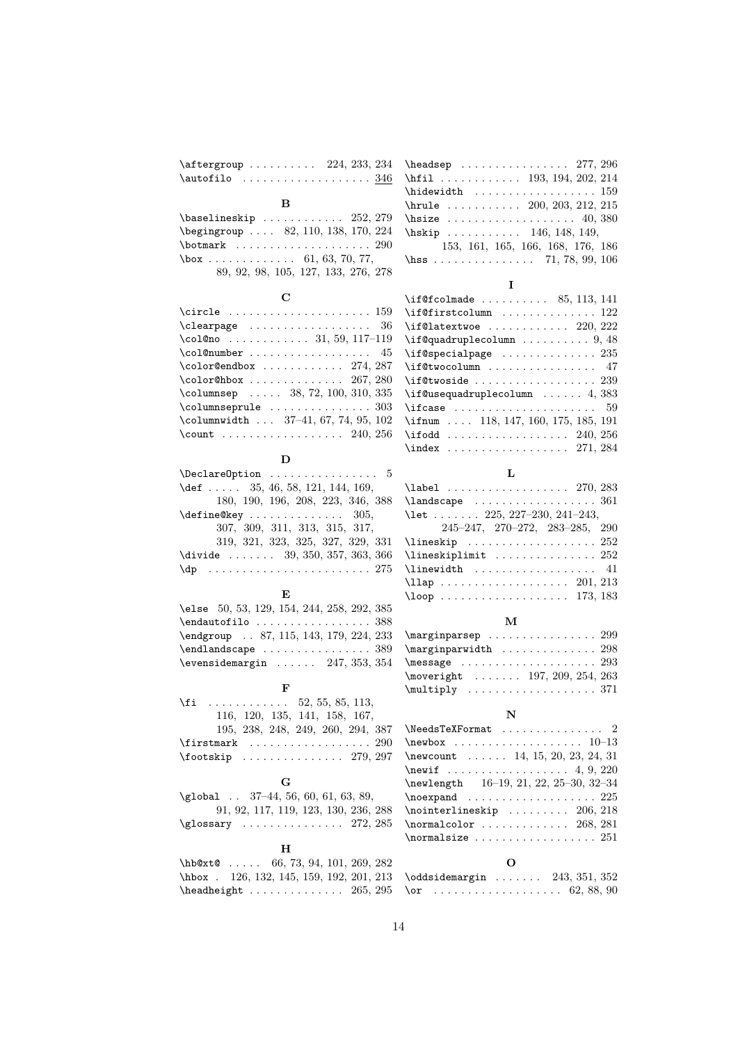| $\dagger$ aftergroup  224, 233, 234                                                                                                                                                                                                                                                                                                                                                                                    | $\headsep$ 277, 296<br>\hfil 193, 194, 202, 214                                       |
|------------------------------------------------------------------------------------------------------------------------------------------------------------------------------------------------------------------------------------------------------------------------------------------------------------------------------------------------------------------------------------------------------------------------|---------------------------------------------------------------------------------------|
|                                                                                                                                                                                                                                                                                                                                                                                                                        | $\label{thm:main}$<br>(hidewidth $\quad \ldots \ldots \ldots \ldots \ldots \quad 159$ |
| в                                                                                                                                                                                                                                                                                                                                                                                                                      | \hrule $\dots \dots 200, 203, 212, 215$                                               |
| $\{\text{baselineskip} \dots \dots \dots \ 252, 279\}$                                                                                                                                                                                                                                                                                                                                                                 |                                                                                       |
| \begingroup  82, 110, 138, 170, 224                                                                                                                                                                                                                                                                                                                                                                                    | $\hbox{hskip} \dots \dots \dots \quad 146, 148, 149,$                                 |
|                                                                                                                                                                                                                                                                                                                                                                                                                        | 153, 161, 165, 166, 168, 176, 186                                                     |
| $\text{box} \ldots \ldots \ldots \ldots \quad 61, 63, 70, 77,$                                                                                                                                                                                                                                                                                                                                                         | \hss 71, 78, 99, 106                                                                  |
| 89, 92, 98, 105, 127, 133, 276, 278                                                                                                                                                                                                                                                                                                                                                                                    | 1                                                                                     |
| C                                                                                                                                                                                                                                                                                                                                                                                                                      | $\iint@fcolmade \ldots \ldots \ldots 85, 113, 141$                                    |
| $\texttt{\textcolor{red}{\texttt{circle}}}\; \dots \dots \dots \dots \dots \dots \dots \dots \dots \dots$                                                                                                                                                                                                                                                                                                              | $\left\{\text{if@first column}\right.\dots\dots\dots\dots\ 122$                       |
| \clearpage<br>36                                                                                                                                                                                                                                                                                                                                                                                                       | $\iint@latextwoe    220, 222$                                                         |
| \col@no  31, 59, 117-119                                                                                                                                                                                                                                                                                                                                                                                               | $\iint$ Qquadruplecolumn  9, 48                                                       |
| \col@number<br>45                                                                                                                                                                                                                                                                                                                                                                                                      | $\iint$ gspecialpage  235                                                             |
| $\cdot$ color@endbox  274, 287                                                                                                                                                                                                                                                                                                                                                                                         | \if@twocolumn  47                                                                     |
| $\cdot$ Color@hbox  267, 280                                                                                                                                                                                                                                                                                                                                                                                           | $\iint$ Ctwoside  239                                                                 |
| $\mathcal{L}$ olumnsep  38, 72, 100, 310, 335                                                                                                                                                                                                                                                                                                                                                                          | $\iint@usequadruple column   4, 383$                                                  |
| $\column{1}{\column{1}{\column{1}{\column{1}{\column{1}{\column{1}{\column{1}{\column{1}{\column{1}{\column{1}{\column{1}{\column{1}{\column{1}{\column{1}{\column{1}{\column{1}{\column{1}{\column{1}{\column{1}{\column{1}{\column{1}{\column{1}{\column{1}{\column{1}{\column{1}{\column{1}{\column{1}{\column{1}{\column{1}{\column{1}{\column{1}{\column{1}{\column{1}{\column{1}{\column{1}{\column{1}{\column{$ |                                                                                       |
| $\mathcal{L}$ olumnwidth  37-41, 67, 74, 95, 102                                                                                                                                                                                                                                                                                                                                                                       | \ifnum  118, 147, 160, 175, 185, 191                                                  |
| \count  240, 256                                                                                                                                                                                                                                                                                                                                                                                                       | $\iota$ 240, 256                                                                      |
|                                                                                                                                                                                                                                                                                                                                                                                                                        | $\index \ldots \ldots \ldots \ldots 271, 284$                                         |
| D                                                                                                                                                                                                                                                                                                                                                                                                                      |                                                                                       |
| $\Delta$ PeclareOption  5                                                                                                                                                                                                                                                                                                                                                                                              | L                                                                                     |
| \def $35, 46, 58, 121, 144, 169,$                                                                                                                                                                                                                                                                                                                                                                                      | $\lambda$ 270, 283                                                                    |
| 180, 190, 196, 208, 223, 346, 388                                                                                                                                                                                                                                                                                                                                                                                      |                                                                                       |
| \define@key<br>305.                                                                                                                                                                                                                                                                                                                                                                                                    | \let $\ldots$ 225, 227-230, 241-243,                                                  |
| 307, 309, 311, 313, 315, 317,                                                                                                                                                                                                                                                                                                                                                                                          | $245-247, 270-272, 283-285, 290$                                                      |
| 319, 321, 323, 325, 327, 329, 331                                                                                                                                                                                                                                                                                                                                                                                      | $\{\text{lineskip} \ldots \ldots \ldots \ldots 252\}$                                 |
| \divide $39, 350, 357, 363, 366$                                                                                                                                                                                                                                                                                                                                                                                       | \lineskiplimit  252                                                                   |
| $\qquad \qquad \text{ap} \quad \ldots \ldots \ldots \ldots \ldots \qquad \qquad 275$                                                                                                                                                                                                                                                                                                                                   | $\{\$                                                                                 |
|                                                                                                                                                                                                                                                                                                                                                                                                                        | $\lambda$ 201, 213                                                                    |
| E                                                                                                                                                                                                                                                                                                                                                                                                                      |                                                                                       |
| \else 50, 53, 129, 154, 244, 258, 292, 385                                                                                                                                                                                                                                                                                                                                                                             |                                                                                       |
|                                                                                                                                                                                                                                                                                                                                                                                                                        | м                                                                                     |
| \endgroup . 87, 115, 143, 179, 224, 233                                                                                                                                                                                                                                                                                                                                                                                | $\mbox{marginparsep}$ 299                                                             |
| $\end{I} and \text{scope} \dots \dots \dots 389$                                                                                                                                                                                                                                                                                                                                                                       | $\label{eq:main} $$ \marginparwidth  \ldots \ldots 298$                               |
| $\text{Vevensidemargin} \dots \dots \quad 247, 353, 354$                                                                                                                                                                                                                                                                                                                                                               | $\n\text{message} \ldots \ldots \ldots \ldots 293$                                    |
|                                                                                                                                                                                                                                                                                                                                                                                                                        | \moveright  197, 209, 254, 263                                                        |
| F                                                                                                                                                                                                                                                                                                                                                                                                                      | $\text{Multiply} \ldots \ldots \ldots \ldots \ldots 371$                              |
| $\{f_i$ 52, 55, 85, 113,                                                                                                                                                                                                                                                                                                                                                                                               | N                                                                                     |
| 116, 120, 135, 141, 158, 167,                                                                                                                                                                                                                                                                                                                                                                                          |                                                                                       |
| 195, 238, 248, 249, 260, 294, 387                                                                                                                                                                                                                                                                                                                                                                                      | $\newbox \dots \dots \dots \dots \dots 10-13$                                         |
| $\text{rootskip} \ldots \ldots \ldots \ldots 279, 297$                                                                                                                                                                                                                                                                                                                                                                 | \newcount $\ldots$ 14, 15, 20, 23, 24, 31                                             |
|                                                                                                                                                                                                                                                                                                                                                                                                                        | \newif  4, $9, 220$                                                                   |
| G                                                                                                                                                                                                                                                                                                                                                                                                                      | $16-19, 21, 22, 25-30, 32-34$<br>\newlength                                           |
| $\gtrsim$ 10bal $\ldots$ 37-44, 56, 60, 61, 63, 89,                                                                                                                                                                                                                                                                                                                                                                    | $\neq$ 225                                                                            |
| 91, 92, 117, 119, 123, 130, 236, 288                                                                                                                                                                                                                                                                                                                                                                                   | $\mathcal{L}$ 206, 218                                                                |
| $\qquad$ \glossary $272, 285$                                                                                                                                                                                                                                                                                                                                                                                          |                                                                                       |
|                                                                                                                                                                                                                                                                                                                                                                                                                        | $\{normal size \dots \dots \dots \dots \ 251$                                         |
| н                                                                                                                                                                                                                                                                                                                                                                                                                      |                                                                                       |
| hb@xt@<br>66, 73, 94, 101, 269, 282                                                                                                                                                                                                                                                                                                                                                                                    | О                                                                                     |
| \hbox . 126, 132, 145, 159, 192, 201, 213                                                                                                                                                                                                                                                                                                                                                                              | $\odot$ ddsidemargin $243, 351, 352$                                                  |
| $\lambda$ headheight $265, 295$                                                                                                                                                                                                                                                                                                                                                                                        |                                                                                       |
|                                                                                                                                                                                                                                                                                                                                                                                                                        |                                                                                       |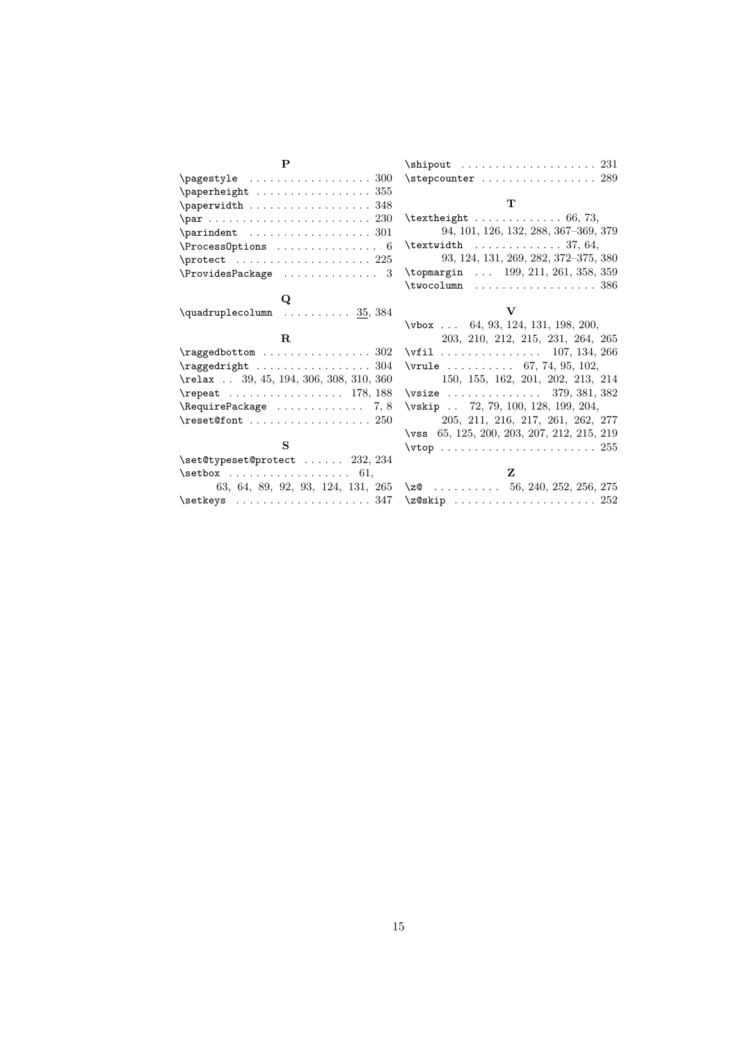| P                                                                             | $\binom{231}{}$                                         |
|-------------------------------------------------------------------------------|---------------------------------------------------------|
|                                                                               | $\setminus$ stepcounter  289                            |
| $\text{paperheight} \dots \dots \dots \dots \dots \ 355$                      |                                                         |
| \paperwidth 348                                                               | т                                                       |
|                                                                               | $\text{textheight} \ldots \ldots \ldots \ldots 66, 73,$ |
| $\partial$ .                                                                  | 94, 101, 126, 132, 288, 367-369, 379                    |
| $\Process$ Options  6                                                         | $\text{textwidth}$ 37, 64,                              |
| $\mathcal{L}$                                                                 | 93, 124, 131, 269, 282, 372-375, 380                    |
| $\ProvidesPackage$ 3                                                          | \topmargin  199, 211, 261, 358, 359                     |
|                                                                               |                                                         |
| Q                                                                             |                                                         |
| $\quadruplecolumn$ $35, 384$                                                  | v                                                       |
|                                                                               | $\forall$ box  64, 93, 124, 131, 198, 200,              |
| $\mathbf{R}$                                                                  | 203, 210, 212, 215, 231, 264, 265                       |
| $\{raged bottom \dots r \dots r \dots 302\}$                                  | $\forall$ i1 107, 134, 266                              |
|                                                                               | \vrule $67, 74, 95, 102,$                               |
| \relax  39, 45, 194, 306, 308, 310, 360                                       | 150, 155, 162, 201, 202, 213, 214                       |
| $\text{Prepeat}$ 178, 188                                                     | $\forall$ vsize  379, 381, 382                          |
| $\begin{array}{ccc} \text{RequirePackage} & \text{} & \text{7,8} \end{array}$ | \vskip  72, 79, 100, 128, 199, 204,                     |
| $\text{\textcircled{font}} \ldots \ldots \ldots \ldots 250$                   | 205, 211, 216, 217, 261, 262, 277                       |
|                                                                               | \vss 65, 125, 200, 203, 207, 212, 215, 219              |
| S                                                                             | $\forall$ rtop  255                                     |
| $\setminus$ set@typeset@protect  232, 234                                     |                                                         |
| $\setminus$ setbox  61,                                                       | z                                                       |
| 63, 64, 89, 92, 93, 124, 131, 265                                             | \zQ 56, 240, 252, 256, 275                              |
| $\setminus$ setkeys  347                                                      |                                                         |